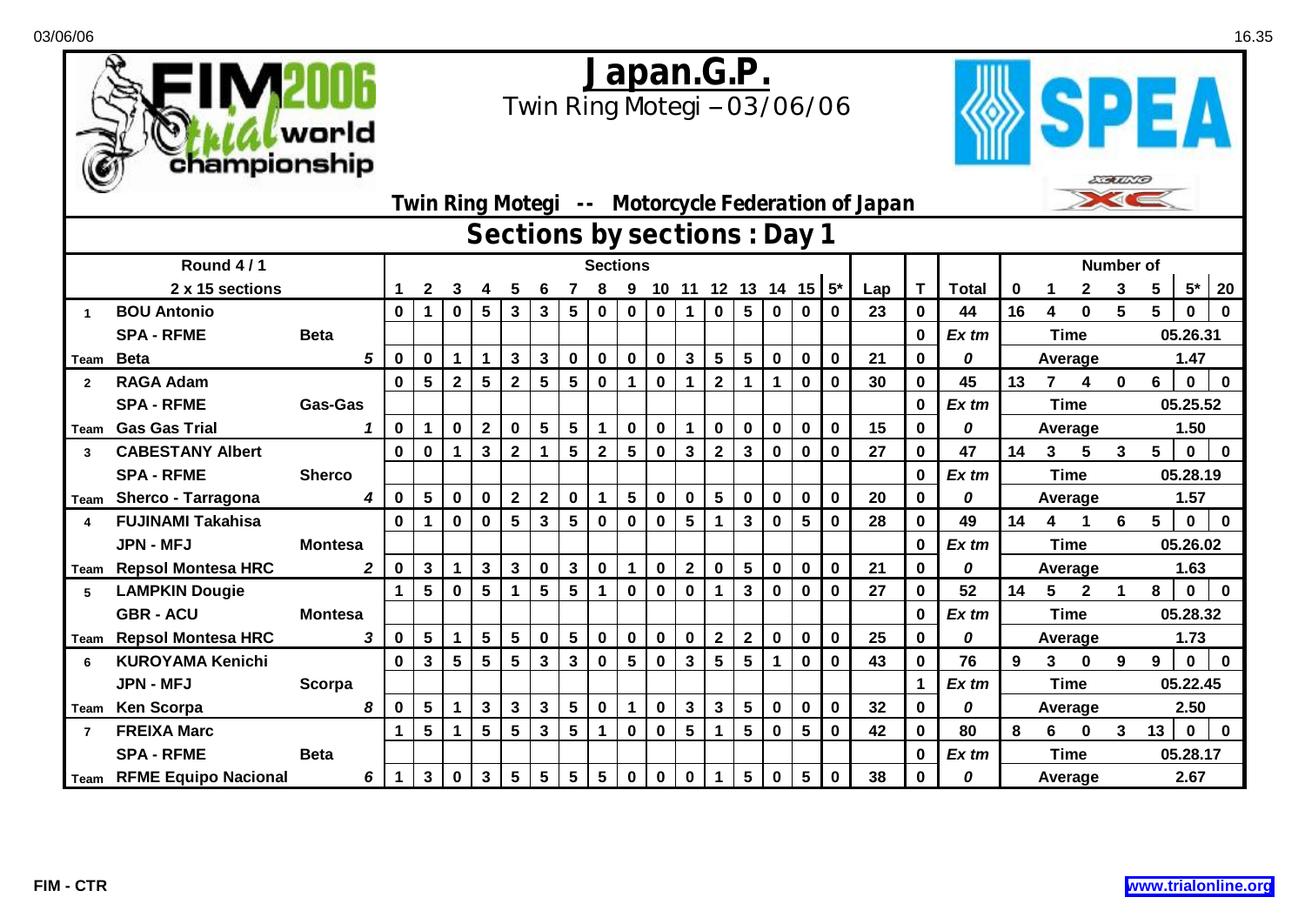



| $\tilde{}$                                       |                                                              |                |                 |   |              |                         |                |                 |                 |                |              |             |                |                 |                 |                      |                 |             |              |              |          |    |                         |              |                |                |             |             |  |
|--------------------------------------------------|--------------------------------------------------------------|----------------|-----------------|---|--------------|-------------------------|----------------|-----------------|-----------------|----------------|--------------|-------------|----------------|-----------------|-----------------|----------------------|-----------------|-------------|--------------|--------------|----------|----|-------------------------|--------------|----------------|----------------|-------------|-------------|--|
|                                                  | $\geq$<br>Twin Ring Motegi -- Motorcycle Federation of Japan |                |                 |   |              |                         |                |                 |                 |                |              |             |                |                 |                 |                      |                 |             |              |              |          |    |                         |              |                |                |             |             |  |
| Sections by sections : Day 1<br><b>Number of</b> |                                                              |                |                 |   |              |                         |                |                 |                 |                |              |             |                |                 |                 |                      |                 |             |              |              |          |    |                         |              |                |                |             |             |  |
|                                                  | Round 4/1                                                    |                | <b>Sections</b> |   |              |                         |                |                 |                 |                |              |             |                |                 |                 |                      |                 |             |              |              |          |    |                         |              |                |                |             |             |  |
|                                                  | 2 x 15 sections                                              | 1              | $\mathbf{2}$    | 3 |              |                         |                |                 |                 | 9              | 10           |             |                |                 |                 | 11 12 13 14 15 $5^*$ |                 | Lap         | $\mathsf{T}$ | <b>Total</b> | $\bf{0}$ |    |                         | 3            | 5 <sup>5</sup> | $5*$           | 20          |             |  |
| $\blacktriangleleft$                             | <b>BOU Antonio</b>                                           |                | $\bf{0}$        | 1 | $\mathbf 0$  | $5\phantom{.0}$         | 3              | $\mathbf{3}$    | $5\phantom{.0}$ | $\mathbf 0$    | $\mathbf 0$  | $\bf{0}$    | $\mathbf 1$    | $\mathbf 0$     | $5\phantom{.0}$ | $\mathbf 0$          | $\mathbf 0$     | 0           | 23           | $\bf{0}$     | 44       | 16 | 4                       | $\bf{0}$     | 5              | 5              | $\mathbf 0$ | 0           |  |
|                                                  | <b>SPA - RFME</b>                                            | <b>Beta</b>    |                 |   |              |                         |                |                 |                 |                |              |             |                |                 |                 |                      |                 |             |              | $\bf{0}$     | Ex tm    |    |                         | <b>Time</b>  |                |                | 05.26.31    |             |  |
|                                                  | Team Beta                                                    | 5              | 0               | 0 | -1           | $\mathbf 1$             | 3              | $\mathbf{3}$    | $\bf{0}$        | 0              | $\mathbf 0$  | $\bf{0}$    | $\mathbf{3}$   | 5 <sup>5</sup>  | $5\phantom{.0}$ | $\bf{0}$             | $\bf{0}$        | $\bf{0}$    | 21           | $\bf{0}$     | 0        |    |                         | Average      |                | 1.47           |             |             |  |
| $\overline{2}$                                   | <b>RAGA Adam</b>                                             |                | $\bf{0}$        | 5 | $\mathbf{2}$ | 5                       | $\mathbf{2}$   | 5               | $5\phantom{.0}$ | $\mathbf 0$    | $\mathbf 1$  | $\bf{0}$    | 1              | $\mathbf{2}$    | 1               | $\blacktriangleleft$ | $\mathbf 0$     | $\mathbf 0$ | 30           | $\mathbf 0$  | 45       | 13 | $\overline{\mathbf{z}}$ | 4            | $\mathbf 0$    | 6              | $\mathbf 0$ | $\bf{0}$    |  |
|                                                  | <b>SPA - RFME</b>                                            | <b>Gas-Gas</b> |                 |   |              |                         |                |                 |                 |                |              |             |                |                 |                 |                      |                 |             |              | $\mathbf 0$  | Ex tm    |    |                         | <b>Time</b>  |                |                | 05.25.52    |             |  |
| Team                                             | <b>Gas Gas Trial</b>                                         |                | 0               |   | $\mathbf 0$  | $\mathbf{2}$            | 0              | 5               | 5               | 1              | 0            | $\bf{0}$    | 1.             | $\mathbf 0$     | $\mathbf 0$     | $\bf{0}$             | $\bf{0}$        | 0           | 15           | $\bf{0}$     | 0        |    | Average                 |              |                |                | 1.50        |             |  |
| $\mathbf{3}$                                     | <b>CABESTANY Albert</b>                                      |                | $\bf{0}$        | 0 |              | $\overline{\mathbf{3}}$ | $\overline{2}$ |                 | 5               | $\mathbf{2}$   | 5            | $\bf{0}$    | 3              | $\mathbf{2}$    | 3               | $\bf{0}$             | $\bf{0}$        | 0           | 27           | $\bf{0}$     | 47       | 14 | 3                       | 5            | 3              | 5 <sup>1</sup> | $\mathbf 0$ | $\bf{0}$    |  |
|                                                  | <b>SPA - RFME</b>                                            | <b>Sherco</b>  |                 |   |              |                         |                |                 |                 |                |              |             |                |                 |                 |                      |                 |             |              | $\bf{0}$     | Ex tm    |    | <b>Time</b><br>05.28.19 |              |                |                |             |             |  |
| Team                                             | <b>Sherco - Tarragona</b>                                    | 4              | $\bf{0}$        | 5 | $\bf{0}$     | $\mathbf 0$             | $\mathbf{2}$   | $\mathbf{2}$    | $\mathbf 0$     | 1.             | 5            | $\mathbf 0$ | $\mathbf 0$    | $5\phantom{.0}$ | $\mathbf 0$     | $\mathbf 0$          | $\mathbf 0$     | $\mathbf 0$ | 20           | $\mathbf 0$  | 0        |    | Average                 |              |                |                | 1.57        |             |  |
| 4                                                | <b>FUJINAMI Takahisa</b>                                     |                | $\mathbf 0$     |   | $\mathbf 0$  | $\mathbf 0$             | 5              | $\mathbf{3}$    | $5\phantom{.0}$ | $\mathbf 0$    | $\mathbf 0$  | $\bf{0}$    | 5              | $\mathbf{1}$    | $\mathbf{3}$    | $\mathbf 0$          | $5\phantom{.0}$ | $\bf{0}$    | 28           | $\mathbf 0$  | 49       | 14 | 4                       |              | 6              | 5              | $\mathbf 0$ | $\bf{0}$    |  |
|                                                  | <b>JPN - MFJ</b>                                             | <b>Montesa</b> |                 |   |              |                         |                |                 |                 |                |              |             |                |                 |                 |                      |                 |             |              | $\bf{0}$     | Ex tm    |    | <b>Time</b>             |              |                |                | 05.26.02    |             |  |
|                                                  | Team Repsol Montesa HRC                                      | $\overline{2}$ | $\mathbf 0$     | 3 | $\mathbf 1$  | $\mathbf{3}$            | $\mathbf{3}$   | $\mathbf 0$     | $\mathbf{3}$    | 0              | $\mathbf{1}$ | $\mathbf 0$ | $\overline{2}$ | $\mathbf 0$     | $5\phantom{.0}$ | $\bf{0}$             | $\mathbf 0$     | $\mathbf 0$ | 21           | 0            | 0        |    |                         | Average      |                | 1.63           |             |             |  |
| 5                                                | <b>LAMPKIN Dougie</b>                                        |                | 1               | 5 | $\mathbf 0$  | 5                       |                | $5\phantom{.0}$ | $5\phantom{.0}$ | 1.             | $\mathbf 0$  | $\bf{0}$    | $\mathbf 0$    | $\mathbf 1$     | $\mathbf{3}$    | $\mathbf 0$          | $\mathbf 0$     | $\mathbf 0$ | 27           | $\mathbf 0$  | 52       | 14 | $5\phantom{.0}$         | $\mathbf{2}$ | $\mathbf 1$    | 8              | $\mathbf 0$ | $\mathbf 0$ |  |
|                                                  | <b>GBR - ACU</b>                                             | <b>Montesa</b> |                 |   |              |                         |                |                 |                 |                |              |             |                |                 |                 |                      |                 |             |              | $\bf{0}$     | Ex tm    |    |                         | <b>Time</b>  |                |                | 05.28.32    |             |  |
|                                                  | Team Repsol Montesa HRC                                      | 3              | $\mathbf 0$     | 5 |              | $5\phantom{a}$          | 5              | $\mathbf 0$     | $5\phantom{.0}$ | $\mathbf 0$    | $\bf{0}$     | $\pmb{0}$   | $\mathbf 0$    | $\overline{2}$  | $\mathbf{2}$    | $\mathbf 0$          | $\mathbf 0$     | $\mathbf 0$ | 25           | $\mathbf 0$  | 0        |    |                         | Average      |                |                | 1.73        |             |  |
| 6                                                | <b>KUROYAMA Kenichi</b>                                      |                | 0               | 3 | 5            | $5\phantom{1}$          | 5              | 3               | 3               | 0              | 5            | $\bf{0}$    | 3              | 5               | $5\phantom{.0}$ | $\mathbf 1$          | $\bf{0}$        | $\bf{0}$    | 43           | $\bf{0}$     | 76       | 9  | 3                       | $\bf{0}$     | 9              | 9              | $\bf{0}$    | $\bf{0}$    |  |
|                                                  | <b>JPN - MFJ</b>                                             | Scorpa         |                 |   |              |                         |                |                 |                 |                |              |             |                |                 |                 |                      |                 |             |              | 1            | Ex tm    |    |                         | <b>Time</b>  |                |                | 05.22.45    |             |  |
|                                                  | Team Ken Scorpa                                              | 8              | 0               | 5 |              | $\mathbf{3}$            | $\mathbf{3}$   | $\mathbf{3}$    | 5               | $\mathbf 0$    | 1            | $\bf{0}$    | 3              | $\mathbf{3}$    | $5\phantom{.0}$ | $\mathbf 0$          | $\mathbf 0$     | $\mathbf 0$ | 32           | 0            | 0        |    |                         | Average      | 2.50           |                |             |             |  |
| $\overline{7}$                                   | <b>FREIXA Marc</b>                                           |                |                 | 5 |              | 5                       | 5              | 3               | 5               | 1              | $\mathbf 0$  | $\bf{0}$    | 5              | $\mathbf{1}$    | 5               | $\mathbf 0$          | 5               | $\mathbf 0$ | 42           | $\mathbf 0$  | 80       | 8  | 6                       | $\bf{0}$     | 3              | 13             | $\mathbf 0$ | $\bf{0}$    |  |
|                                                  | <b>SPA - RFME</b>                                            | <b>Beta</b>    |                 |   |              |                         |                |                 |                 |                |              |             |                |                 |                 |                      |                 |             |              | $\mathbf 0$  | Ex tm    |    |                         | <b>Time</b>  |                |                | 05.28.17    |             |  |
|                                                  | <b>Team RFME Equipo Nacional</b>                             | 6              | $\mathbf 1$     | 3 | $\mathbf 0$  | $\mathbf{3}$            | 5              | $5\phantom{.0}$ | $5\phantom{.0}$ | 5 <sup>5</sup> | $\mathbf 0$  | $\mathbf 0$ | $\mathbf 0$    | $\mathbf 1$     | $5\phantom{.0}$ | $\mathbf 0$          | $5\phantom{1}$  | $\mathbf 0$ | 38           | $\bf{0}$     | 0        |    | Average                 |              |                |                | 2.67        |             |  |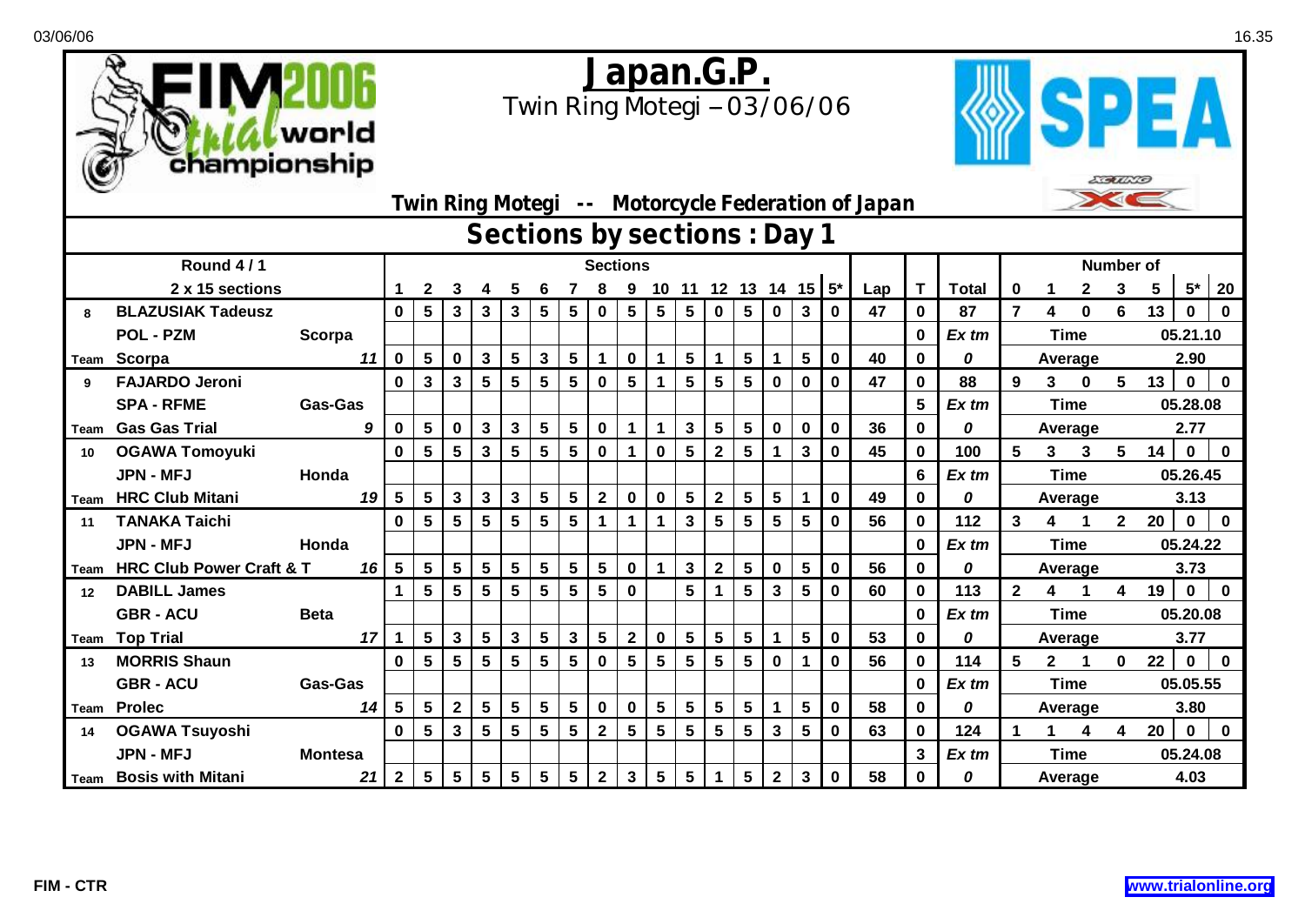



| Twin Ring Motegi -- Motorcycle Federation of Japan |                                     |                 |    |                         |                 |                         |                 |                 |                         |                 |              |                |                 |                         |                 |                 |                 |                   |             |     | ⋙⋖⋐⋖           |                  |                |              |              |              |          |              |          |  |  |  |
|----------------------------------------------------|-------------------------------------|-----------------|----|-------------------------|-----------------|-------------------------|-----------------|-----------------|-------------------------|-----------------|--------------|----------------|-----------------|-------------------------|-----------------|-----------------|-----------------|-------------------|-------------|-----|----------------|------------------|----------------|--------------|--------------|--------------|----------|--------------|----------|--|--|--|
|                                                    | Sections by sections : Day 1        |                 |    |                         |                 |                         |                 |                 |                         |                 |              |                |                 |                         |                 |                 |                 |                   |             |     |                |                  |                |              |              |              |          |              |          |  |  |  |
|                                                    | Round 4/1                           | <b>Sections</b> |    |                         |                 |                         |                 |                 |                         |                 |              |                |                 |                         |                 |                 |                 |                   |             |     |                | <b>Number of</b> |                |              |              |              |          |              |          |  |  |  |
|                                                    | 2 x 15 sections                     |                 |    |                         | 2               |                         |                 |                 |                         |                 |              | 9              | 10              | 11                      |                 |                 |                 | 12 13 14 15 $5^*$ |             | Lap |                | <b>Total</b>     | 0              |              | $\mathbf{2}$ | 3            | 5        | $5^*$        | 20       |  |  |  |
| 8                                                  | <b>BLAZUSIAK Tadeusz</b>            |                 |    | 0                       | $5\phantom{.0}$ | $\mathbf{3}$            | $\mathbf{3}$    | $\mathbf{3}$    | $5\phantom{.0}$         | 5               | 0            | 5              | 5               | 5                       | 0               | $5\phantom{.0}$ | $\mathbf 0$     | 3                 | $\mathbf 0$ | 47  | $\bf{0}$       | 87               | $\overline{7}$ | 4            | 0            | 6            | 13       | $\bf{0}$     | 0        |  |  |  |
|                                                    | <b>POL - PZM</b>                    | Scorpa          |    |                         |                 |                         |                 |                 |                         |                 |              |                |                 |                         |                 |                 |                 |                   |             |     | $\bf{0}$       | Ex tm            |                |              | <b>Time</b>  |              |          | 05.21.10     |          |  |  |  |
| Team                                               | Scorpa                              |                 | 11 | 0                       | $5\phantom{.0}$ | $\bf{0}$                | $\mathbf{3}$    | 5               | $\mathbf{3}$            | $5\phantom{.0}$ | $\mathbf{1}$ | $\mathbf 0$    |                 | $5\phantom{.0}$         |                 | $5\phantom{.0}$ |                 | 5                 | $\mathbf 0$ | 40  | $\mathbf 0$    | 0                |                |              | Average      |              | 2.90     |              |          |  |  |  |
| 9                                                  | <b>FAJARDO Jeroni</b>               |                 |    | 0                       | $\mathbf{3}$    | $\mathbf{3}$            | $5\phantom{.0}$ | 5               | 5                       | 5               | $\mathbf 0$  | 5              | 1               | $5\phantom{.0}$         | $5\phantom{.0}$ | $5\phantom{.0}$ | $\mathbf 0$     | 0                 | $\mathbf 0$ | 47  | $\mathbf 0$    | 88               | 9              | 3            | $\bf{0}$     | 5            | 13       | $\mathbf 0$  | $\bf{0}$ |  |  |  |
|                                                    | <b>SPA - RFME</b>                   | <b>Gas-Gas</b>  |    |                         |                 |                         |                 |                 |                         |                 |              |                |                 |                         |                 |                 |                 |                   |             |     | $5\phantom{1}$ | Ex tm            |                |              | <b>Time</b>  |              |          | 05.28.08     |          |  |  |  |
| Team                                               | <b>Gas Gas Trial</b>                |                 | 9  | $\mathbf 0$             | $5\overline{)}$ | $\bf{0}$                | $\mathbf{3}$    | $\mathbf{3}$    | $5\phantom{a}$          | $5\phantom{.0}$ | $\mathbf 0$  |                | 1               | $\mathbf{3}$            | $5\phantom{.0}$ | $5\phantom{.0}$ | $\mathbf 0$     | $\mathbf 0$       | $\bf{0}$    | 36  | 0              | 0                |                |              | Average      |              |          | 2.77         |          |  |  |  |
| 10                                                 | <b>OGAWA Tomoyuki</b>               |                 |    | $\mathbf 0$             | 5 <sup>5</sup>  | $\overline{\mathbf{5}}$ | $\mathbf{3}$    | 5               | 5                       | 5               | $\mathbf 0$  | 1              | $\mathbf 0$     | 5                       | $\mathbf{2}$    | $5\phantom{.0}$ | 1               | 3                 | $\bf{0}$    | 45  | $\mathbf 0$    | 100              | 5              | 3            | $\mathbf{3}$ | 5            | 14       | $\mathbf 0$  | $\bf{0}$ |  |  |  |
|                                                    | <b>JPN - MFJ</b>                    | Honda           |    |                         |                 |                         |                 |                 |                         |                 |              |                |                 |                         |                 |                 |                 |                   |             |     | 6              | Ex tm            |                |              | <b>Time</b>  |              | 05.26.45 |              |          |  |  |  |
| Team                                               | <b>HRC Club Mitani</b>              |                 | 19 | $\overline{\mathbf{5}}$ | $5\phantom{.0}$ | $\mathbf{3}$            | $\mathbf{3}$    | $\mathbf{3}$    | $5\phantom{.0}$         | $5\phantom{.0}$ | $\mathbf{2}$ | $\mathbf 0$    | $\mathbf 0$     | $\overline{\mathbf{5}}$ | $\mathbf{2}$    | $\sqrt{5}$      | $5\phantom{.0}$ | 1                 | $\mathbf 0$ | 49  | $\mathbf{0}$   | 0                |                | Average      |              |              |          | 3.13         |          |  |  |  |
| 11                                                 | <b>TANAKA Taichi</b>                |                 |    | 0                       | 5 <sub>5</sub>  | $5\phantom{.0}$         | $5\phantom{.0}$ | $5\phantom{.0}$ | $\overline{\mathbf{5}}$ | 5               | $\mathbf 1$  | $\mathbf{1}$   | $\mathbf 1$     | $\mathbf{3}$            | $5\phantom{.0}$ | $5\phantom{.0}$ | $5\phantom{.0}$ | $\sqrt{5}$        | $\mathbf 0$ | 56  | $\mathbf{0}$   | 112              | 3              | 4            |              | $\mathbf{2}$ | 20       | $\mathbf 0$  | $\bf{0}$ |  |  |  |
|                                                    | <b>JPN - MFJ</b>                    | Honda           |    |                         |                 |                         |                 |                 |                         |                 |              |                |                 |                         |                 |                 |                 |                   |             |     | $\mathbf{0}$   | $Ex$ tm          |                |              | <b>Time</b>  |              |          | 05.24.22     |          |  |  |  |
| Team                                               | <b>HRC Club Power Craft &amp; T</b> |                 | 16 | 5                       | 5 <sup>5</sup>  | $5\phantom{.0}$         | $5\phantom{.0}$ | 5               | $5\phantom{.0}$         | 5               | 5            | $\mathbf 0$    | 1               | $\mathbf{3}$            | $\mathbf{2}$    | $5\phantom{.0}$ | $\mathbf 0$     | 5                 | $\mathbf 0$ | 56  | 0              | 0                |                |              | Average      |              |          | 3.73         |          |  |  |  |
| 12                                                 | <b>DABILL James</b>                 |                 |    |                         | 5 <sup>5</sup>  | $5\phantom{.0}$         | 5               | 5               | 5                       | 5               | 5            | $\bf{0}$       |                 | 5                       |                 | $5\phantom{1}$  | 3               | 5                 | $\mathbf 0$ | 60  | 0              | 113              | $\overline{2}$ | 4            |              | 4            | 19       | $\bf{0}$     | 0        |  |  |  |
|                                                    | <b>GBR - ACU</b>                    | <b>Beta</b>     |    |                         |                 |                         |                 |                 |                         |                 |              |                |                 |                         |                 |                 |                 |                   |             |     | 0              | Ex tm            |                |              | Time         |              |          | 05.20.08     |          |  |  |  |
| Team                                               | <b>Top Trial</b>                    |                 | 17 |                         | $5\phantom{.0}$ | $\mathbf{3}$            | $5\phantom{.0}$ | $\mathbf{3}$    | $5\phantom{1}$          | $3\phantom{a}$  | 5            | $\mathbf 2$    | $\bf{0}$        | 5                       | 5               | $5\phantom{.0}$ | 1               | 5                 | $\mathbf 0$ | 53  | 0              | 0                |                |              | Average      |              |          | 3.77         |          |  |  |  |
| 13                                                 | <b>MORRIS Shaun</b>                 |                 |    | 0                       | 5               | 5                       | $5\phantom{.0}$ | $5\phantom{.0}$ | 5                       | 5               | $\bf{0}$     | 5              | 5               | 5                       | 5               | 5               | $\bf{0}$        |                   | $\bf{0}$    | 56  | 0              | 114              | 5              | $\mathbf{2}$ |              | $\mathbf 0$  | 22       | $\mathbf{0}$ | $\bf{0}$ |  |  |  |
|                                                    | <b>GBR - ACU</b>                    | <b>Gas-Gas</b>  |    |                         |                 |                         |                 |                 |                         |                 |              |                |                 |                         |                 |                 |                 |                   |             |     | $\bf{0}$       | $Ex$ tm          |                |              | <b>Time</b>  |              |          | 05.05.55     |          |  |  |  |
| Team                                               | <b>Prolec</b>                       |                 | 14 | 5                       | 5 <sup>5</sup>  | $\mathbf{2}$            | $5\phantom{.0}$ | 5               | $5\phantom{1}$          | 5               | $\mathbf 0$  | $\bf{0}$       | $5\phantom{1}$  | $5\phantom{.0}$         | 5               | $5\phantom{1}$  | 1               | 5                 | $\mathbf 0$ | 58  | 0              | 0                |                |              | Average      |              |          | 3.80         |          |  |  |  |
| 14                                                 | <b>OGAWA Tsuyoshi</b>               |                 |    | $\mathbf 0$             | $5\phantom{.0}$ | $\mathbf{3}$            | 5               | 5               | 5                       | 5               | $\mathbf{2}$ | 5              | 5               | 5                       | $5\phantom{.0}$ | $5\phantom{.0}$ | $\mathbf{3}$    | 5                 | $\mathbf 0$ | 63  | $\mathbf 0$    | 124              |                |              | 4            | 4            | 20       | $\mathbf 0$  | $\bf{0}$ |  |  |  |
|                                                    | <b>JPN - MFJ</b>                    | <b>Montesa</b>  |    |                         |                 |                         |                 |                 |                         |                 |              |                |                 |                         |                 |                 |                 |                   |             |     | 3              | Ex tm            |                |              | <b>Time</b>  |              |          | 05.24.08     |          |  |  |  |
|                                                    | <b>Team</b> Bosis with Mitani       |                 | 21 | $2^{\circ}$             | 5 <sup>5</sup>  | $5\phantom{.0}$         | 5 <sup>5</sup>  | 5 <sup>5</sup>  | $5\phantom{1}$          | 5               | $\mathbf{2}$ | 3 <sup>1</sup> | $5\overline{)}$ | $5\phantom{1}$          | $\mathbf{1}$    | $5\phantom{1}$  | $\mathbf{2}$    | $\mathbf{3}$      | $\mathbf 0$ | 58  | 0              | 0                |                |              | Average      |              |          | 4.03         |          |  |  |  |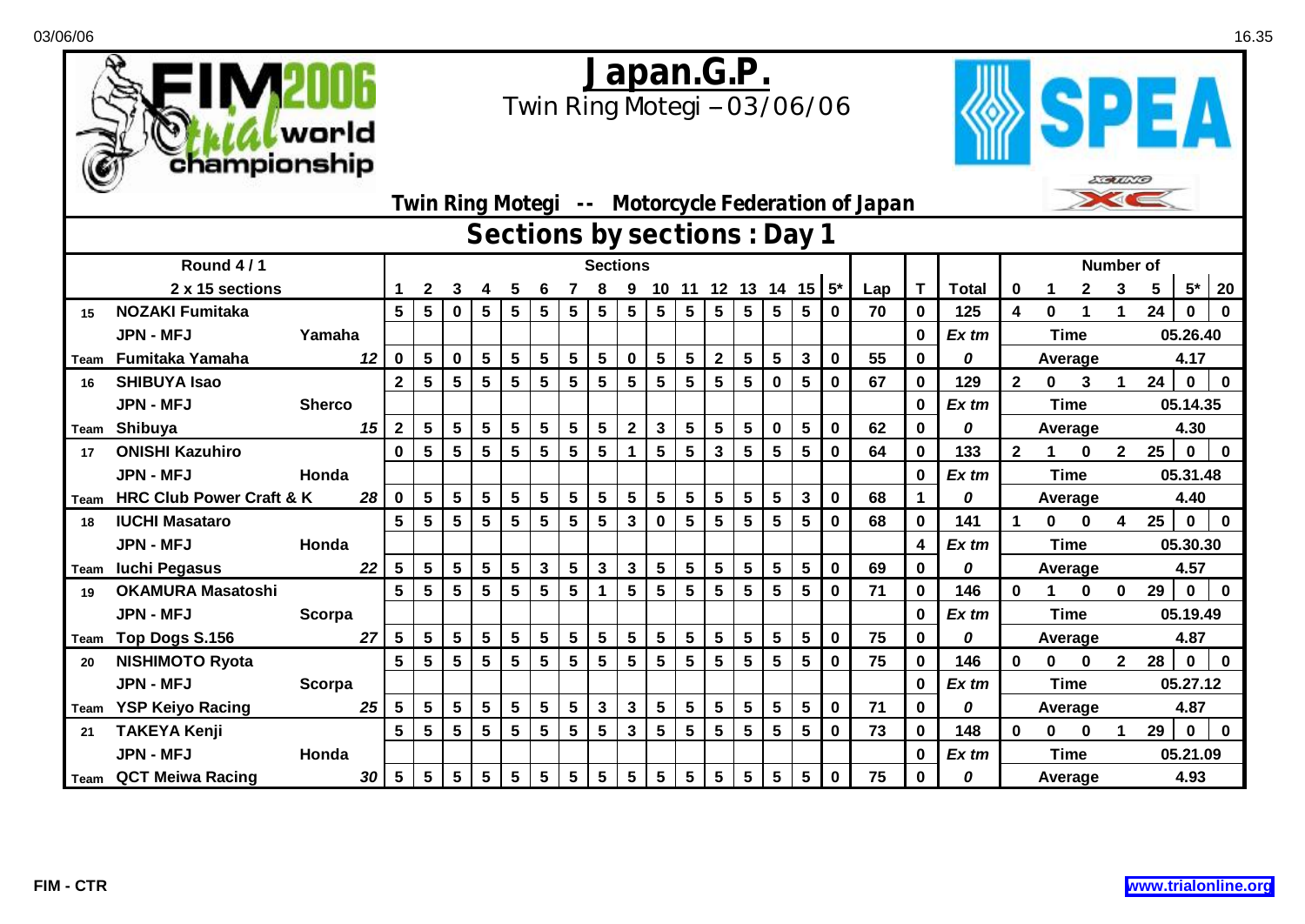



|      | $\sum_{i=1}^{n}$<br>Twin Ring Motegi -- Motorcycle Federation of Japan |                 |    |                |   |                 |                         |                 |                 |                         |                         |              |                 |                 |                 |                  |                         |                         |             |     |             |              |              |              |          |              |          |             |          |  |  |
|------|------------------------------------------------------------------------|-----------------|----|----------------|---|-----------------|-------------------------|-----------------|-----------------|-------------------------|-------------------------|--------------|-----------------|-----------------|-----------------|------------------|-------------------------|-------------------------|-------------|-----|-------------|--------------|--------------|--------------|----------|--------------|----------|-------------|----------|--|--|
|      | Sections by sections : Day 1                                           |                 |    |                |   |                 |                         |                 |                 |                         |                         |              |                 |                 |                 |                  |                         |                         |             |     |             |              |              |              |          |              |          |             |          |  |  |
|      | Round 4/1                                                              | <b>Sections</b> |    |                |   |                 |                         |                 |                 |                         |                         |              |                 |                 |                 | <b>Number of</b> |                         |                         |             |     |             |              |              |              |          |              |          |             |          |  |  |
|      | 2 x 15 sections                                                        |                 |    |                | 2 | 3               |                         | 5               |                 |                         |                         |              | 10 <sub>1</sub> |                 | 11 12 13 14     |                  |                         | $15 5*$                 |             | Lap | $\mathbf T$ | <b>Total</b> | 0            |              |          | 3            | 5        | $5*$        | 20       |  |  |
| 15   | <b>NOZAKI Fumitaka</b>                                                 |                 |    | 5              | 5 | $\bf{0}$        | $5\phantom{.0}$         | 5 <sup>5</sup>  | $5\phantom{.0}$ | $5\phantom{.0}$         | $5\phantom{.0}$         | 5            | 5               | 5 <sup>5</sup>  | 5 <sub>1</sub>  | $5\phantom{.0}$  | $5\phantom{1}$          | 5                       | $\mathbf 0$ | 70  | 0           | 125          | 4            | 0            |          |              | 24       | 0           | 0        |  |  |
|      | <b>JPN - MFJ</b>                                                       | Yamaha          |    |                |   |                 |                         |                 |                 |                         |                         |              |                 |                 |                 |                  |                         |                         |             |     | $\bf{0}$    | Ex tm        |              | <b>Time</b>  |          |              |          | 05.26.40    |          |  |  |
| Team | Fumitaka Yamaha<br>12                                                  |                 |    |                | 5 | $\mathbf 0$     | $\sqrt{5}$              | $5\phantom{.0}$ | 5               | $5\phantom{.0}$         | $5\phantom{1}$          | $\mathbf 0$  | $5\phantom{.0}$ | $5\phantom{.0}$ | $\overline{2}$  | 5                | 5                       | $\mathbf{3}$            | $\mathbf 0$ | 55  | 0           | 0            |              | Average      |          |              |          | 4.17        |          |  |  |
| 16   | <b>SHIBUYA Isao</b>                                                    |                 |    | $\mathbf{2}$   | 5 | 5               | 5                       | 5               | 5               | $5\phantom{.0}$         | 5                       | 5            | 5               | $5\phantom{.0}$ | $5\phantom{.0}$ | 5                | $\mathbf 0$             | 5                       | $\mathbf 0$ | 67  | $\mathbf 0$ | 129          | $\mathbf{2}$ | $\mathbf 0$  | 3        | 1            | 24       | $\mathbf 0$ | $\bf{0}$ |  |  |
|      | <b>JPN - MFJ</b>                                                       | <b>Sherco</b>   |    |                |   |                 |                         |                 |                 |                         |                         |              |                 |                 |                 |                  |                         |                         |             |     | $\bf{0}$    | Ex tm        |              | <b>Time</b>  |          |              |          | 05.14.35    |          |  |  |
| Team | Shibuya                                                                |                 | 15 | $\mathbf{2}$   | 5 | $5\phantom{.0}$ | $5\phantom{.0}$         | 5               | 5               | $5\phantom{.0}$         | $5\phantom{.0}$         | $\mathbf{2}$ | $\mathbf{3}$    | 5               | $5\phantom{.0}$ | 5                | $\mathbf 0$             | 5                       | 0           | 62  | $\bf{0}$    | 0            |              | Average      |          |              |          | 4.30        |          |  |  |
| 17   | <b>ONISHI Kazuhiro</b>                                                 |                 |    | $\bf{0}$       | 5 | 5               | 5                       | 5               | 5               | 5                       | $5\phantom{.0}$         | 1            | 5               | 5               | 3               | 5                | $5\phantom{1}$          | 5                       | $\mathbf 0$ | 64  | $\bf{0}$    | 133          | $\mathbf{2}$ |              | 0        | $\mathbf{2}$ | $25\,$   | $\bf{0}$    | $\bf{0}$ |  |  |
|      | <b>JPN - MFJ</b>                                                       | Honda           |    |                |   |                 |                         |                 |                 |                         |                         |              |                 |                 |                 |                  |                         |                         |             |     | $\bf{0}$    | Ex tm        |              | <b>Time</b>  |          |              | 05.31.48 |             |          |  |  |
| Team | <b>HRC Club Power Craft &amp; K</b>                                    |                 | 28 | 0              | 5 | $5\phantom{a}$  | $5\phantom{1}$          | 5               | 5               | 5                       | $5\phantom{.0}$         | 5            | $5\phantom{.0}$ | $5\phantom{.0}$ | $5\phantom{.0}$ | 5                | $5\phantom{.0}$         | $\mathbf{3}$            | $\mathbf 0$ | 68  |             | 0            |              | Average      |          |              |          | 4.40        |          |  |  |
| 18   | <b>IUCHI Masataro</b>                                                  |                 |    | 5              | 5 | $5\phantom{.0}$ | 5                       | $5\phantom{.0}$ | 5               | $5\phantom{.0}$         | $\overline{\mathbf{5}}$ | $\mathbf 3$  | $\mathbf 0$     | $5\phantom{.0}$ | $5\phantom{.0}$ | 5                | $5\phantom{.0}$         | 5                       | $\mathbf 0$ | 68  | $\mathbf 0$ | 141          |              | $\bf{0}$     | $\bf{0}$ | 4            | $25\,$   | $\mathbf 0$ | $\bf{0}$ |  |  |
|      | <b>JPN - MFJ</b>                                                       | Honda           |    |                |   |                 |                         |                 |                 |                         |                         |              |                 |                 |                 |                  |                         |                         |             |     | 4           | Ex tm        |              | <b>Time</b>  |          |              |          | 05.30.30    |          |  |  |
| Team | <b>Iuchi Pegasus</b>                                                   |                 | 22 | 5              | 5 | $5\phantom{.0}$ | $\sqrt{5}$              | $5\phantom{.0}$ | $\mathbf{3}$    | $\sqrt{5}$              | $\mathbf{3}$            | $\mathbf{3}$ | $5\phantom{.0}$ | $5\phantom{.0}$ | $5\phantom{.0}$ | $5\phantom{.0}$  | $\overline{\mathbf{5}}$ | $5\phantom{.0}$         | $\mathbf 0$ | 69  | 0           | 0            |              | Average      |          |              |          | 4.57        |          |  |  |
| 19   | <b>OKAMURA Masatoshi</b>                                               |                 |    | 5              | 5 | 5               | 5                       | 5               | 5               | 5                       | 1                       | 5            | 5               | $5\phantom{.0}$ | 5               | 5                | $5\phantom{.0}$         | 5                       | $\bf{0}$    | 71  | $\bf{0}$    | 146          | $\bf{0}$     | 1            | $\bf{0}$ | 0            | 29       | $\mathbf 0$ | $\bf{0}$ |  |  |
|      | <b>JPN - MFJ</b>                                                       | Scorpa          |    |                |   |                 |                         |                 |                 |                         |                         |              |                 |                 |                 |                  |                         |                         |             |     | $\bf{0}$    | Ex tm        |              | <b>Time</b>  |          |              |          | 05.19.49    |          |  |  |
| Team | Top Dogs S.156                                                         |                 | 27 | 5              | 5 | $5\overline{)}$ | $5\phantom{a}$          | 5               | $5\phantom{.0}$ | $5\phantom{1}$          | $5\phantom{1}$          | 5            | $5\phantom{a}$  | $5\phantom{.0}$ | $5\phantom{.0}$ | 5                | $5\phantom{1}$          | 5                       | $\mathbf 0$ | 75  | $\mathbf 0$ | 0            |              | Average      |          |              |          | 4.87        |          |  |  |
| 20   | <b>NISHIMOTO Ryota</b>                                                 |                 |    | 5              | 5 | 5               | $5\phantom{1}$          | 5               | 5               | $5\phantom{.0}$         | 5                       | 5            | 5               | $5\overline{)}$ | $5\phantom{.0}$ | 5                | $5\phantom{.0}$         | 5                       | $\bf{0}$    | 75  | $\bf{0}$    | 146          | 0            | $\bf{0}$     | 0        | 2            | 28       | $\bf{0}$    | $\bf{0}$ |  |  |
|      | <b>JPN - MFJ</b>                                                       | <b>Scorpa</b>   |    |                |   |                 |                         |                 |                 |                         |                         |              |                 |                 |                 |                  |                         |                         |             |     | $\bf{0}$    | Ex tm        |              | <b>Time</b>  |          |              |          | 05.27.12    |          |  |  |
| Team | <b>YSP Keiyo Racing</b>                                                |                 | 25 | 5              | 5 | $5\phantom{a}$  | $\overline{\mathbf{5}}$ | 5               | 5               | $\overline{\mathbf{5}}$ | $\mathbf{3}$            | $\mathbf 3$  | $5\phantom{.0}$ | $5\phantom{.0}$ | 5               | 5                | $5\phantom{.0}$         | $\overline{\mathbf{5}}$ | $\mathbf 0$ | 71  | $\bf{0}$    | 0            |              | Average      |          |              | 4.87     |             |          |  |  |
| 21   | <b>TAKEYA Kenji</b>                                                    |                 |    | 5              | 5 | 5               | 5                       | 5               | 5               | 5                       | $5\phantom{.0}$         | 3            | 5               | $5\phantom{.0}$ | 5               | 5                | 5                       | $5\phantom{.0}$         | $\bf{0}$    | 73  | $\bf{0}$    | 148          | $\bf{0}$     | $\mathbf{0}$ | $\bf{0}$ |              | 29       | $\mathbf 0$ | $\bf{0}$ |  |  |
|      | JPN - MFJ                                                              | Honda           |    |                |   |                 |                         |                 |                 |                         |                         |              |                 |                 |                 |                  |                         |                         |             |     | $\bf{0}$    | Ex tm        |              | <b>Time</b>  |          |              |          | 05.21.09    |          |  |  |
|      | <b>Team</b> QCT Meiwa Racing                                           |                 | 30 | $5\phantom{1}$ | 5 | $5\phantom{.0}$ | $5\phantom{1}$          | 5               | $5\phantom{.0}$ | $5\phantom{.0}$         | $5\phantom{.0}$         | 5            | $5\phantom{1}$  | $5\phantom{.0}$ | $5\phantom{.0}$ | $5\overline{)}$  | 5                       | $5\phantom{.0}$         | $\bf{0}$    | 75  | $\bf{0}$    | 0            |              | Average      |          |              |          | 4.93        |          |  |  |